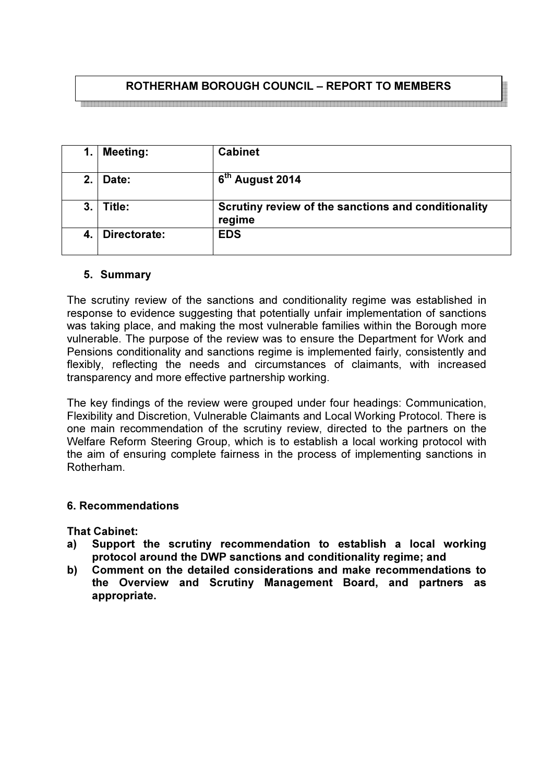# ROTHERHAM BOROUGH COUNCIL – REPORT TO MEMBERS

<br>이 이 사람은 이 번 없이 없는 것이 없는 것이 없는 것이 없는 것이 없는 것이 없는 것이 없는 것이 없는 것이 없는 것이 없는 것이 없는 것이 없는 것이 없는 것이 없는 것이 없는 것이 없는 것이

| 1. | <b>Meeting:</b> | <b>Cabinet</b>                                                |
|----|-----------------|---------------------------------------------------------------|
| 2. | Date:           | 6 <sup>th</sup> August 2014                                   |
| 3. | Title:          | Scrutiny review of the sanctions and conditionality<br>regime |
| 4. | Directorate:    | <b>EDS</b>                                                    |

#### 5. Summary

The scrutiny review of the sanctions and conditionality regime was established in response to evidence suggesting that potentially unfair implementation of sanctions was taking place, and making the most vulnerable families within the Borough more vulnerable. The purpose of the review was to ensure the Department for Work and Pensions conditionality and sanctions regime is implemented fairly, consistently and flexibly, reflecting the needs and circumstances of claimants, with increased transparency and more effective partnership working.

The key findings of the review were grouped under four headings: Communication, Flexibility and Discretion, Vulnerable Claimants and Local Working Protocol. There is one main recommendation of the scrutiny review, directed to the partners on the Welfare Reform Steering Group, which is to establish a local working protocol with the aim of ensuring complete fairness in the process of implementing sanctions in Rotherham.

### 6. Recommendations

That Cabinet:

- a) Support the scrutiny recommendation to establish a local working protocol around the DWP sanctions and conditionality regime; and
- b) Comment on the detailed considerations and make recommendations to the Overview and Scrutiny Management Board, and partners as appropriate.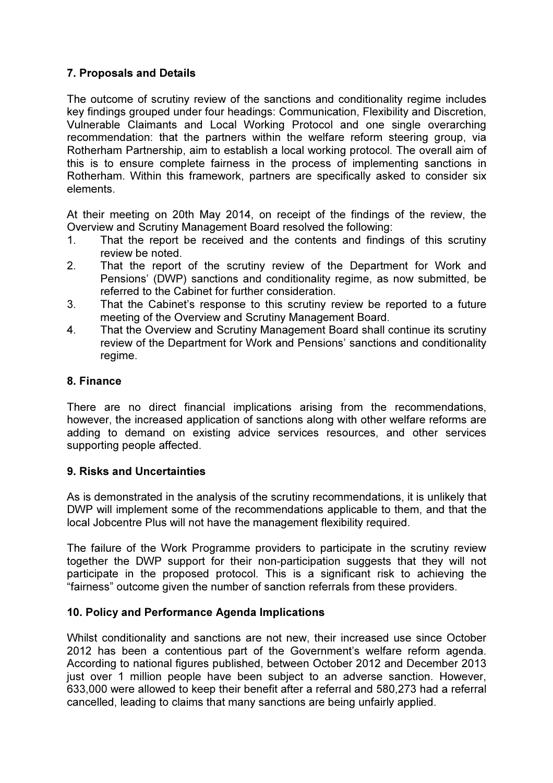# 7. Proposals and Details

The outcome of scrutiny review of the sanctions and conditionality regime includes key findings grouped under four headings: Communication, Flexibility and Discretion, Vulnerable Claimants and Local Working Protocol and one single overarching recommendation: that the partners within the welfare reform steering group, via Rotherham Partnership, aim to establish a local working protocol. The overall aim of this is to ensure complete fairness in the process of implementing sanctions in Rotherham. Within this framework, partners are specifically asked to consider six elements.

At their meeting on 20th May 2014, on receipt of the findings of the review, the Overview and Scrutiny Management Board resolved the following:

- 1. That the report be received and the contents and findings of this scrutiny review be noted.
- 2. That the report of the scrutiny review of the Department for Work and Pensions' (DWP) sanctions and conditionality regime, as now submitted, be referred to the Cabinet for further consideration.
- 3. That the Cabinet's response to this scrutiny review be reported to a future meeting of the Overview and Scrutiny Management Board.
- 4. That the Overview and Scrutiny Management Board shall continue its scrutiny review of the Department for Work and Pensions' sanctions and conditionality regime.

### 8. Finance

There are no direct financial implications arising from the recommendations, however, the increased application of sanctions along with other welfare reforms are adding to demand on existing advice services resources, and other services supporting people affected.

### 9. Risks and Uncertainties

As is demonstrated in the analysis of the scrutiny recommendations, it is unlikely that DWP will implement some of the recommendations applicable to them, and that the local Jobcentre Plus will not have the management flexibility required.

The failure of the Work Programme providers to participate in the scrutiny review together the DWP support for their non-participation suggests that they will not participate in the proposed protocol. This is a significant risk to achieving the "fairness" outcome given the number of sanction referrals from these providers.

### 10. Policy and Performance Agenda Implications

Whilst conditionality and sanctions are not new, their increased use since October 2012 has been a contentious part of the Government's welfare reform agenda. According to national figures published, between October 2012 and December 2013 just over 1 million people have been subject to an adverse sanction. However, 633,000 were allowed to keep their benefit after a referral and 580,273 had a referral cancelled, leading to claims that many sanctions are being unfairly applied.